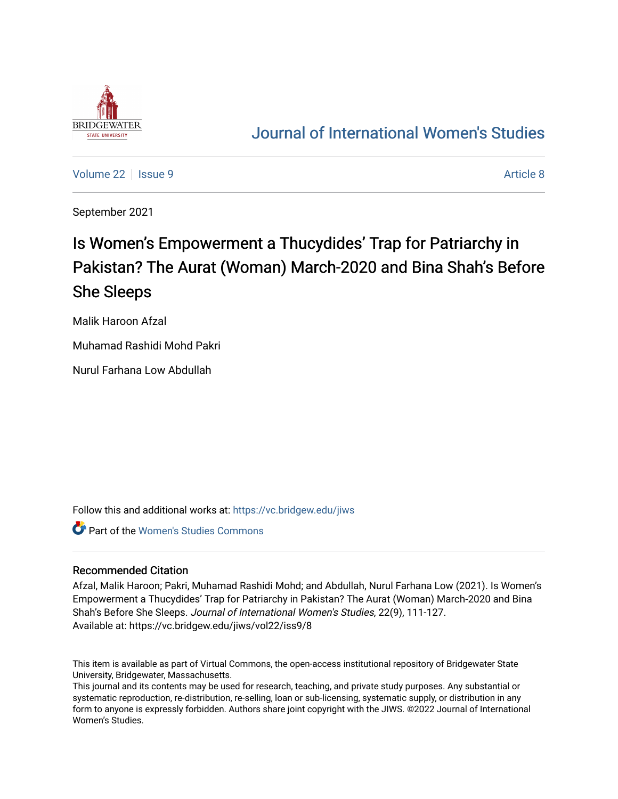

## [Journal of International Women's Studies](https://vc.bridgew.edu/jiws)

[Volume 22](https://vc.bridgew.edu/jiws/vol22) | [Issue 9](https://vc.bridgew.edu/jiws/vol22/iss9) Article 8

September 2021

# Is Women's Empowerment a Thucydides' Trap for Patriarchy in Pakistan? The Aurat (Woman) March-2020 and Bina Shah's Before She Sleeps

Malik Haroon Afzal

Muhamad Rashidi Mohd Pakri

Nurul Farhana Low Abdullah

Follow this and additional works at: [https://vc.bridgew.edu/jiws](https://vc.bridgew.edu/jiws?utm_source=vc.bridgew.edu%2Fjiws%2Fvol22%2Fiss9%2F8&utm_medium=PDF&utm_campaign=PDFCoverPages)

**Part of the Women's Studies Commons** 

#### Recommended Citation

Afzal, Malik Haroon; Pakri, Muhamad Rashidi Mohd; and Abdullah, Nurul Farhana Low (2021). Is Women's Empowerment a Thucydides' Trap for Patriarchy in Pakistan? The Aurat (Woman) March-2020 and Bina Shah's Before She Sleeps. Journal of International Women's Studies, 22(9), 111-127. Available at: https://vc.bridgew.edu/jiws/vol22/iss9/8

This item is available as part of Virtual Commons, the open-access institutional repository of Bridgewater State University, Bridgewater, Massachusetts.

This journal and its contents may be used for research, teaching, and private study purposes. Any substantial or systematic reproduction, re-distribution, re-selling, loan or sub-licensing, systematic supply, or distribution in any form to anyone is expressly forbidden. Authors share joint copyright with the JIWS. ©2022 Journal of International Women's Studies.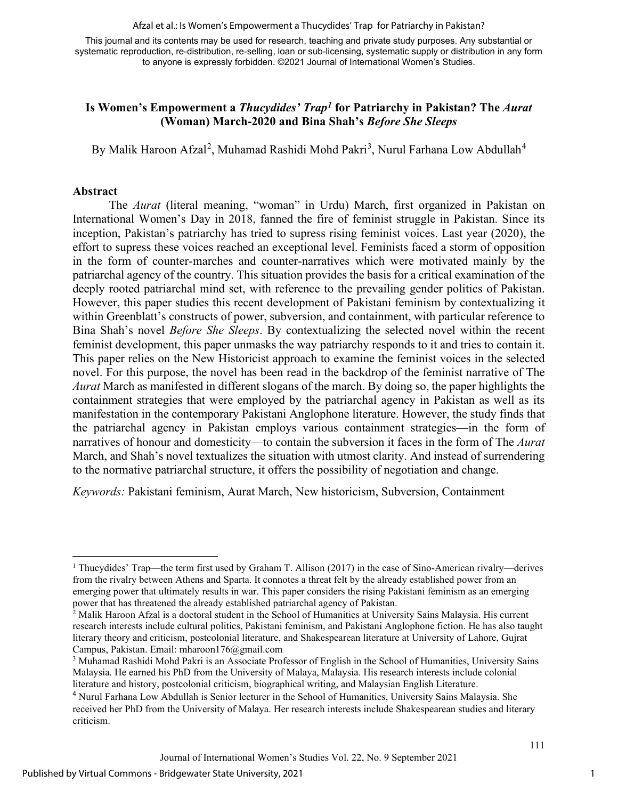Afzal et al.: Is Women's Empowerment a Thucydides' Trap for Patriarchy in Pakistan?

This journal and its contents may be used for research, teaching and private study purposes. Any substantial or systematic reproduction, re-distribution, re-selling, loan or sub-licensing, systematic supply or distribution in any form to anyone is expressly forbidden. ©2021 Journal of International Women's Studies.

## **Is Women's Empowerment a** *Thucydides' Trap[1](#page-1-0)* **for Patriarchy in Pakistan? The** *Aurat*  **(Woman) March-2020 and Bina Shah's** *Before She Sleeps*

By Malik Haroon Afzal<sup>[2](#page-1-1)</sup>, Muhamad Rashidi Mohd Pakri<sup>[3](#page-1-2)</sup>, Nurul Farhana Low Abdullah<sup>[4](#page-1-3)</sup>

## **Abstract**

The *Aurat* (literal meaning, "woman" in Urdu) March, first organized in Pakistan on International Women's Day in 2018, fanned the fire of feminist struggle in Pakistan. Since its inception, Pakistan's patriarchy has tried to supress rising feminist voices. Last year (2020), the effort to supress these voices reached an exceptional level. Feminists faced a storm of opposition in the form of counter-marches and counter-narratives which were motivated mainly by the patriarchal agency of the country. This situation provides the basis for a critical examination of the deeply rooted patriarchal mind set, with reference to the prevailing gender politics of Pakistan. However, this paper studies this recent development of Pakistani feminism by contextualizing it within Greenblatt's constructs of power, subversion, and containment, with particular reference to Bina Shah's novel *Before She Sleeps*. By contextualizing the selected novel within the recent feminist development, this paper unmasks the way patriarchy responds to it and tries to contain it. This paper relies on the New Historicist approach to examine the feminist voices in the selected novel. For this purpose, the novel has been read in the backdrop of the feminist narrative of The *Aurat* March as manifested in different slogans of the march. By doing so, the paper highlights the containment strategies that were employed by the patriarchal agency in Pakistan as well as its manifestation in the contemporary Pakistani Anglophone literature. However, the study finds that the patriarchal agency in Pakistan employs various containment strategies—in the form of narratives of honour and domesticity—to contain the subversion it faces in the form of The *Aurat* March, and Shah's novel textualizes the situation with utmost clarity. And instead of surrendering to the normative patriarchal structure, it offers the possibility of negotiation and change.

*Keywords:* Pakistani feminism, Aurat March, New historicism, Subversion, Containment

<span id="page-1-0"></span><sup>&</sup>lt;sup>1</sup> Thucydides' Trap—the term first used by Graham T. Allison (2017) in the case of Sino-American rivalry—derives from the rivalry between Athens and Sparta. It connotes a threat felt by the already established power from an emerging power that ultimately results in war. This paper considers the rising Pakistani feminism as an emerging power that has threatened the already established patriarchal agency of Pakistan.

<span id="page-1-1"></span><sup>&</sup>lt;sup>2</sup> Malik Haroon Afzal is a doctoral student in the School of Humanities at University Sains Malaysia. His current research interests include cultural politics, Pakistani feminism, and Pakistani Anglophone fiction. He has also taught literary theory and criticism, postcolonial literature, and Shakespearean literature at University of Lahore, Gujrat Campus, Pakistan. Email: mharoon176@gmail.com

<span id="page-1-2"></span><sup>&</sup>lt;sup>3</sup> Muhamad Rashidi Mohd Pakri is an Associate Professor of English in the School of Humanities, University Sains Malaysia. He earned his PhD from the University of Malaya, Malaysia. His research interests include colonial literature and history, postcolonial criticism, biographical writing, and Malaysian English Literature.

<span id="page-1-3"></span><sup>4</sup> Nurul Farhana Low Abdullah is Senior lecturer in the School of Humanities, University Sains Malaysia. She received her PhD from the University of Malaya. Her research interests include Shakespearean studies and literary criticism.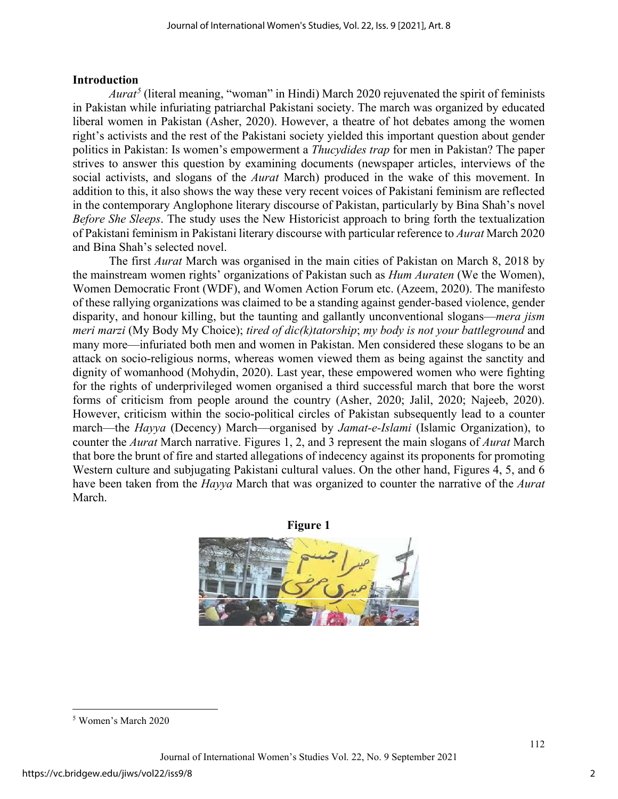### **Introduction**

*Aurat<sup>[5](#page-2-0)</sup>* (literal meaning, "woman" in Hindi) March 2020 rejuvenated the spirit of feminists in Pakistan while infuriating patriarchal Pakistani society. The march was organized by educated liberal women in Pakistan (Asher, 2020). However, a theatre of hot debates among the women right's activists and the rest of the Pakistani society yielded this important question about gender politics in Pakistan: Is women's empowerment a *Thucydides trap* for men in Pakistan? The paper strives to answer this question by examining documents (newspaper articles, interviews of the social activists, and slogans of the *Aurat* March) produced in the wake of this movement. In addition to this, it also shows the way these very recent voices of Pakistani feminism are reflected in the contemporary Anglophone literary discourse of Pakistan, particularly by Bina Shah's novel *Before She Sleeps*. The study uses the New Historicist approach to bring forth the textualization of Pakistani feminism in Pakistani literary discourse with particular reference to *Aurat* March 2020 and Bina Shah's selected novel.

The first *Aurat* March was organised in the main cities of Pakistan on March 8, 2018 by the mainstream women rights' organizations of Pakistan such as *Hum Auraten* (We the Women), Women Democratic Front (WDF), and Women Action Forum etc. (Azeem, 2020). The manifesto of these rallying organizations was claimed to be a standing against gender-based violence, gender disparity, and honour killing, but the taunting and gallantly unconventional slogans—*mera jism meri marzi* (My Body My Choice); *tired of dic(k)tatorship*; *my body is not your battleground* and many more—infuriated both men and women in Pakistan. Men considered these slogans to be an attack on socio-religious norms, whereas women viewed them as being against the sanctity and dignity of womanhood (Mohydin, 2020). Last year, these empowered women who were fighting for the rights of underprivileged women organised a third successful march that bore the worst forms of criticism from people around the country (Asher, 2020; Jalil, 2020; Najeeb, 2020). However, criticism within the socio-political circles of Pakistan subsequently lead to a counter march—the *Hayya* (Decency) March—organised by *Jamat-e-Islami* (Islamic Organization), to counter the *Aurat* March narrative. Figures 1, 2, and 3 represent the main slogans of *Aurat* March that bore the brunt of fire and started allegations of indecency against its proponents for promoting Western culture and subjugating Pakistani cultural values. On the other hand, Figures 4, 5, and 6 have been taken from the *Hayya* March that was organized to counter the narrative of the *Aurat* March.



<span id="page-2-0"></span><sup>5</sup> Women's March 2020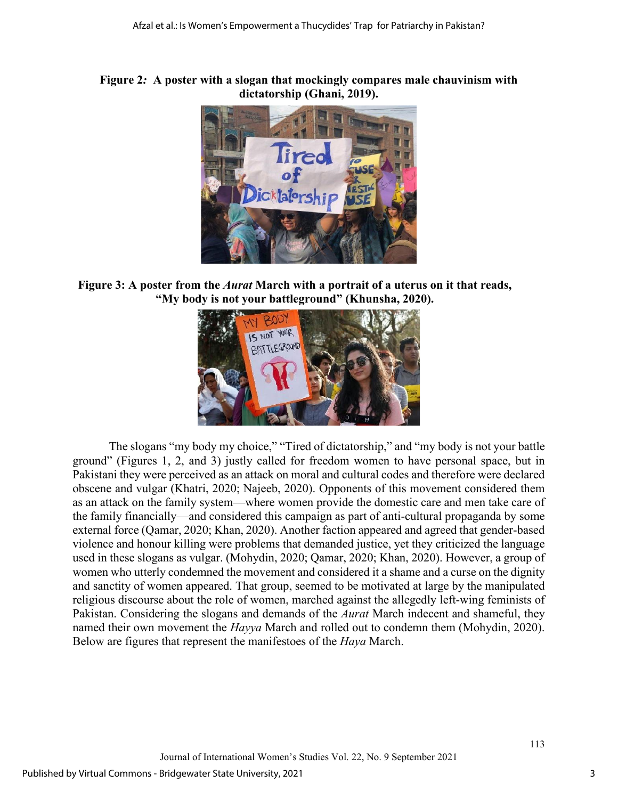## **Figure 2***:* **A poster with a slogan that mockingly compares male chauvinism with dictatorship (Ghani, 2019).**



**Figure 3: A poster from the** *Aurat* **March with a portrait of a uterus on it that reads, "My body is not your battleground" (Khunsha, 2020).**



The slogans "my body my choice," "Tired of dictatorship," and "my body is not your battle ground" (Figures 1, 2, and 3) justly called for freedom women to have personal space, but in Pakistani they were perceived as an attack on moral and cultural codes and therefore were declared obscene and vulgar (Khatri, 2020; Najeeb, 2020). Opponents of this movement considered them as an attack on the family system—where women provide the domestic care and men take care of the family financially—and considered this campaign as part of anti-cultural propaganda by some external force (Qamar, 2020; Khan, 2020). Another faction appeared and agreed that gender-based violence and honour killing were problems that demanded justice, yet they criticized the language used in these slogans as vulgar. (Mohydin, 2020; Qamar, 2020; Khan, 2020). However, a group of women who utterly condemned the movement and considered it a shame and a curse on the dignity and sanctity of women appeared. That group, seemed to be motivated at large by the manipulated religious discourse about the role of women, marched against the allegedly left-wing feminists of Pakistan. Considering the slogans and demands of the *Aurat* March indecent and shameful, they named their own movement the *Hayya* March and rolled out to condemn them (Mohydin, 2020). Below are figures that represent the manifestoes of the *Haya* March.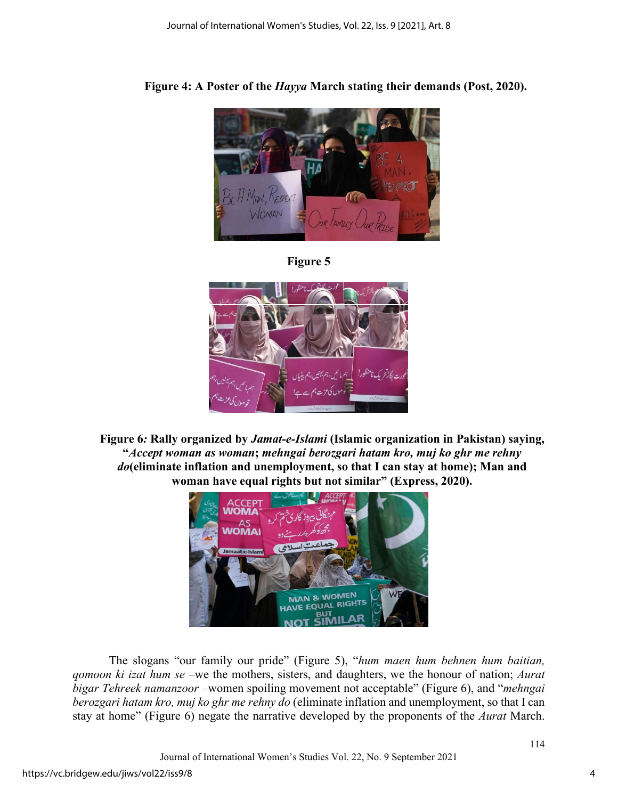

**Figure 4: A Poster of the** *Hayya* **March stating their demands (Post, 2020).** 





**Figure 6***:* **Rally organized by** *Jamat-e-Islami* **(Islamic organization in Pakistan) saying, "***Accept woman as woman***;** *mehngai berozgari hatam kro, muj ko ghr me rehny do***(eliminate inflation and unemployment, so that I can stay at home); Man and woman have equal rights but not similar" (Express, 2020).**



The slogans "our family our pride" (Figure 5), "*hum maen hum behnen hum baitian, qomoon ki izat hum se* –we the mothers, sisters, and daughters, we the honour of nation; *Aurat bigar Tehreek namanzoor* –women spoiling movement not acceptable" (Figure 6), and "*mehngai berozgari hatam kro, muj ko ghr me rehny do* (eliminate inflation and unemployment, so that I can stay at home" (Figure 6) negate the narrative developed by the proponents of the *Aurat* March.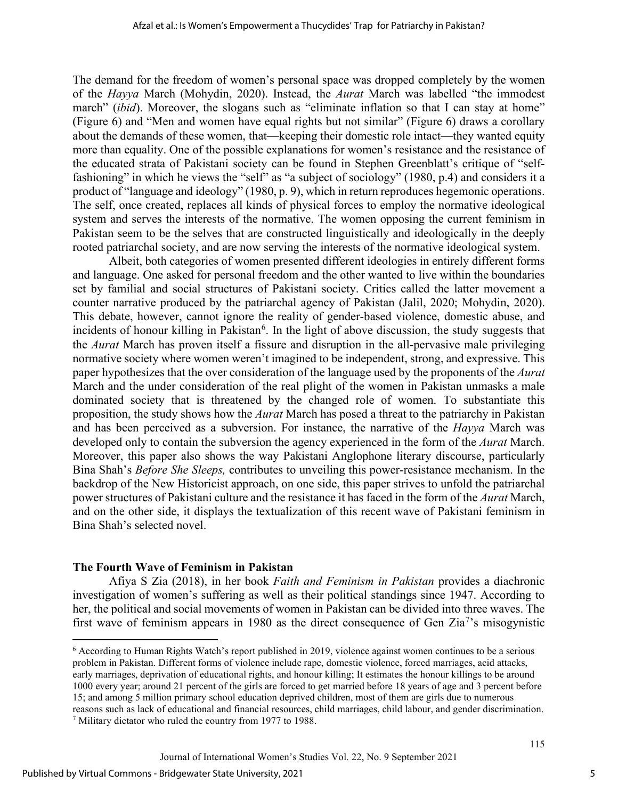The demand for the freedom of women's personal space was dropped completely by the women of the *Hayya* March (Mohydin, 2020). Instead, the *Aurat* March was labelled "the immodest march" *(ibid)*. Moreover, the slogans such as "eliminate inflation so that I can stay at home" (Figure 6) and "Men and women have equal rights but not similar" (Figure 6) draws a corollary about the demands of these women, that—keeping their domestic role intact—they wanted equity more than equality. One of the possible explanations for women's resistance and the resistance of the educated strata of Pakistani society can be found in Stephen Greenblatt's critique of "selffashioning" in which he views the "self" as "a subject of sociology" (1980, p.4) and considers it a product of "language and ideology" (1980, p. 9), which in return reproduces hegemonic operations. The self, once created, replaces all kinds of physical forces to employ the normative ideological system and serves the interests of the normative. The women opposing the current feminism in Pakistan seem to be the selves that are constructed linguistically and ideologically in the deeply rooted patriarchal society, and are now serving the interests of the normative ideological system.

Albeit, both categories of women presented different ideologies in entirely different forms and language. One asked for personal freedom and the other wanted to live within the boundaries set by familial and social structures of Pakistani society. Critics called the latter movement a counter narrative produced by the patriarchal agency of Pakistan (Jalil, 2020; Mohydin, 2020). This debate, however, cannot ignore the reality of gender-based violence, domestic abuse, and incidents of honour killing in Pakistan<sup>[6](#page-5-0)</sup>. In the light of above discussion, the study suggests that the *Aurat* March has proven itself a fissure and disruption in the all-pervasive male privileging normative society where women weren't imagined to be independent, strong, and expressive. This paper hypothesizes that the over consideration of the language used by the proponents of the *Aurat* March and the under consideration of the real plight of the women in Pakistan unmasks a male dominated society that is threatened by the changed role of women. To substantiate this proposition, the study shows how the *Aurat* March has posed a threat to the patriarchy in Pakistan and has been perceived as a subversion. For instance, the narrative of the *Hayya* March was developed only to contain the subversion the agency experienced in the form of the *Aurat* March. Moreover, this paper also shows the way Pakistani Anglophone literary discourse, particularly Bina Shah's *Before She Sleeps,* contributes to unveiling this power-resistance mechanism. In the backdrop of the New Historicist approach, on one side, this paper strives to unfold the patriarchal power structures of Pakistani culture and the resistance it has faced in the form of the *Aurat* March, and on the other side, it displays the textualization of this recent wave of Pakistani feminism in Bina Shah's selected novel.

#### **The Fourth Wave of Feminism in Pakistan**

Afiya S Zia (2018), in her book *Faith and Feminism in Pakistan* provides a diachronic investigation of women's suffering as well as their political standings since 1947. According to her, the political and social movements of women in Pakistan can be divided into three waves. The first wave of feminism appears in 1980 as the direct consequence of Gen Zia<sup>[7](#page-5-1)</sup>'s misogynistic

<span id="page-5-1"></span><span id="page-5-0"></span><sup>6</sup> According to Human Rights Watch's report published in 2019, violence against women continues to be a serious problem in Pakistan. Different forms of violence include rape, domestic violence, forced marriages, acid attacks, early marriages, deprivation of educational rights, and honour killing; It estimates the honour killings to be around 1000 every year; around 21 percent of the girls are forced to get married before 18 years of age and 3 percent before 15; and among 5 million primary school education deprived children, most of them are girls due to numerous reasons such as lack of educational and financial resources, child marriages, child labour, and gender discrimination. <sup>7</sup> Military dictator who ruled the country from 1977 to 1988.

Journal of International Women's Studies Vol. 22, No. 9 September 2021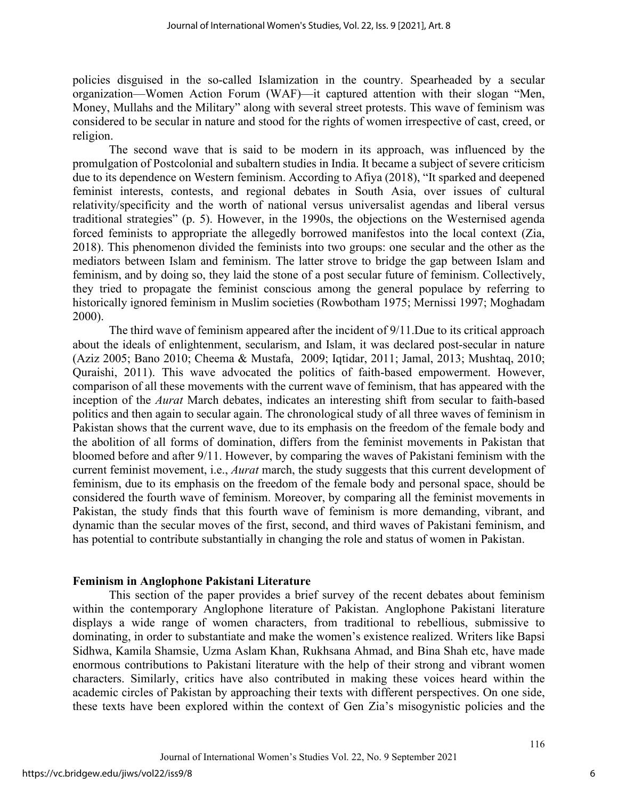policies disguised in the so-called Islamization in the country. Spearheaded by a secular organization—Women Action Forum (WAF)—it captured attention with their slogan "Men, Money, Mullahs and the Military" along with several street protests. This wave of feminism was considered to be secular in nature and stood for the rights of women irrespective of cast, creed, or religion.

The second wave that is said to be modern in its approach, was influenced by the promulgation of Postcolonial and subaltern studies in India. It became a subject of severe criticism due to its dependence on Western feminism. According to Afiya (2018), "It sparked and deepened feminist interests, contests, and regional debates in South Asia, over issues of cultural relativity/specificity and the worth of national versus universalist agendas and liberal versus traditional strategies" (p. 5). However, in the 1990s, the objections on the Westernised agenda forced feminists to appropriate the allegedly borrowed manifestos into the local context (Zia, 2018). This phenomenon divided the feminists into two groups: one secular and the other as the mediators between Islam and feminism. The latter strove to bridge the gap between Islam and feminism, and by doing so, they laid the stone of a post secular future of feminism. Collectively, they tried to propagate the feminist conscious among the general populace by referring to historically ignored feminism in Muslim societies (Rowbotham 1975; Mernissi 1997; Moghadam 2000).

The third wave of feminism appeared after the incident of 9/11.Due to its critical approach about the ideals of enlightenment, secularism, and Islam, it was declared post-secular in nature (Aziz 2005; Bano 2010; Cheema & Mustafa, 2009; Iqtidar, 2011; Jamal, 2013; Mushtaq, 2010; Quraishi, 2011). This wave advocated the politics of faith-based empowerment. However, comparison of all these movements with the current wave of feminism, that has appeared with the inception of the *Aurat* March debates, indicates an interesting shift from secular to faith-based politics and then again to secular again. The chronological study of all three waves of feminism in Pakistan shows that the current wave, due to its emphasis on the freedom of the female body and the abolition of all forms of domination, differs from the feminist movements in Pakistan that bloomed before and after 9/11. However, by comparing the waves of Pakistani feminism with the current feminist movement, i.e., *Aurat* march, the study suggests that this current development of feminism, due to its emphasis on the freedom of the female body and personal space, should be considered the fourth wave of feminism. Moreover, by comparing all the feminist movements in Pakistan, the study finds that this fourth wave of feminism is more demanding, vibrant, and dynamic than the secular moves of the first, second, and third waves of Pakistani feminism, and has potential to contribute substantially in changing the role and status of women in Pakistan.

#### **Feminism in Anglophone Pakistani Literature**

This section of the paper provides a brief survey of the recent debates about feminism within the contemporary Anglophone literature of Pakistan. Anglophone Pakistani literature displays a wide range of women characters, from traditional to rebellious, submissive to dominating, in order to substantiate and make the women's existence realized. Writers like Bapsi Sidhwa, Kamila Shamsie, Uzma Aslam Khan, Rukhsana Ahmad, and Bina Shah etc, have made enormous contributions to Pakistani literature with the help of their strong and vibrant women characters. Similarly, critics have also contributed in making these voices heard within the academic circles of Pakistan by approaching their texts with different perspectives. On one side, these texts have been explored within the context of Gen Zia's misogynistic policies and the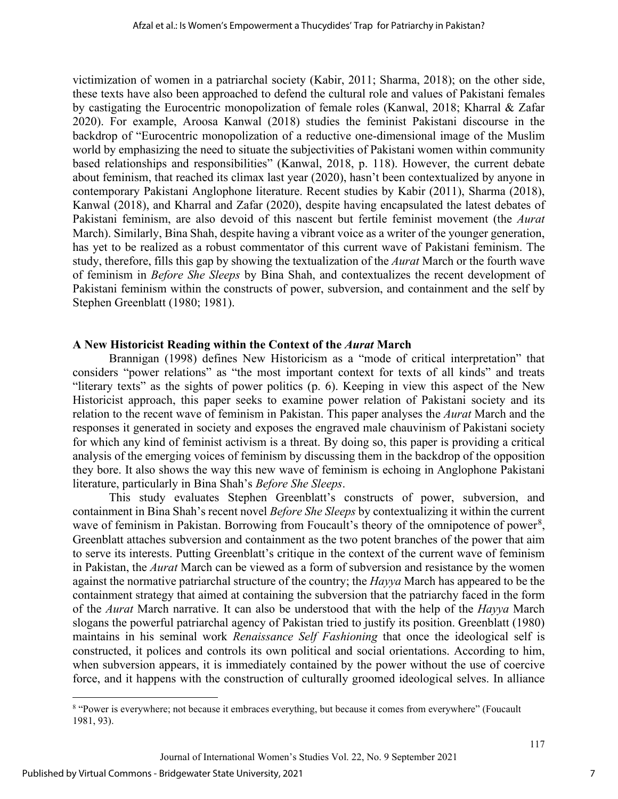victimization of women in a patriarchal society (Kabir, 2011; Sharma, 2018); on the other side, these texts have also been approached to defend the cultural role and values of Pakistani females by castigating the Eurocentric monopolization of female roles (Kanwal, 2018; Kharral & Zafar 2020). For example, Aroosa Kanwal (2018) studies the feminist Pakistani discourse in the backdrop of "Eurocentric monopolization of a reductive one-dimensional image of the Muslim world by emphasizing the need to situate the subjectivities of Pakistani women within community based relationships and responsibilities" (Kanwal, 2018, p. 118). However, the current debate about feminism, that reached its climax last year (2020), hasn't been contextualized by anyone in contemporary Pakistani Anglophone literature. Recent studies by Kabir (2011), Sharma (2018), Kanwal (2018), and Kharral and Zafar (2020), despite having encapsulated the latest debates of Pakistani feminism, are also devoid of this nascent but fertile feminist movement (the *Aurat* March). Similarly, Bina Shah, despite having a vibrant voice as a writer of the younger generation, has yet to be realized as a robust commentator of this current wave of Pakistani feminism. The study, therefore, fills this gap by showing the textualization of the *Aurat* March or the fourth wave of feminism in *Before She Sleeps* by Bina Shah, and contextualizes the recent development of Pakistani feminism within the constructs of power, subversion, and containment and the self by Stephen Greenblatt (1980; 1981).

## **A New Historicist Reading within the Context of the** *Aurat* **March**

Brannigan (1998) defines New Historicism as a "mode of critical interpretation" that considers "power relations" as "the most important context for texts of all kinds" and treats "literary texts" as the sights of power politics (p. 6). Keeping in view this aspect of the New Historicist approach, this paper seeks to examine power relation of Pakistani society and its relation to the recent wave of feminism in Pakistan. This paper analyses the *Aurat* March and the responses it generated in society and exposes the engraved male chauvinism of Pakistani society for which any kind of feminist activism is a threat. By doing so, this paper is providing a critical analysis of the emerging voices of feminism by discussing them in the backdrop of the opposition they bore. It also shows the way this new wave of feminism is echoing in Anglophone Pakistani literature, particularly in Bina Shah's *Before She Sleeps*.

This study evaluates Stephen Greenblatt's constructs of power, subversion, and containment in Bina Shah's recent novel *Before She Sleeps* by contextualizing it within the current wave of feminism in Pakistan. Borrowing from Foucault's theory of the omnipotence of power<sup>[8](#page-7-0)</sup>, Greenblatt attaches subversion and containment as the two potent branches of the power that aim to serve its interests. Putting Greenblatt's critique in the context of the current wave of feminism in Pakistan, the *Aurat* March can be viewed as a form of subversion and resistance by the women against the normative patriarchal structure of the country; the *Hayya* March has appeared to be the containment strategy that aimed at containing the subversion that the patriarchy faced in the form of the *Aurat* March narrative. It can also be understood that with the help of the *Hayya* March slogans the powerful patriarchal agency of Pakistan tried to justify its position. Greenblatt (1980) maintains in his seminal work *Renaissance Self Fashioning* that once the ideological self is constructed, it polices and controls its own political and social orientations. According to him, when subversion appears, it is immediately contained by the power without the use of coercive force, and it happens with the construction of culturally groomed ideological selves. In alliance

<span id="page-7-0"></span><sup>&</sup>lt;sup>8</sup> "Power is everywhere; not because it embraces everything, but because it comes from everywhere" (Foucault 1981, 93).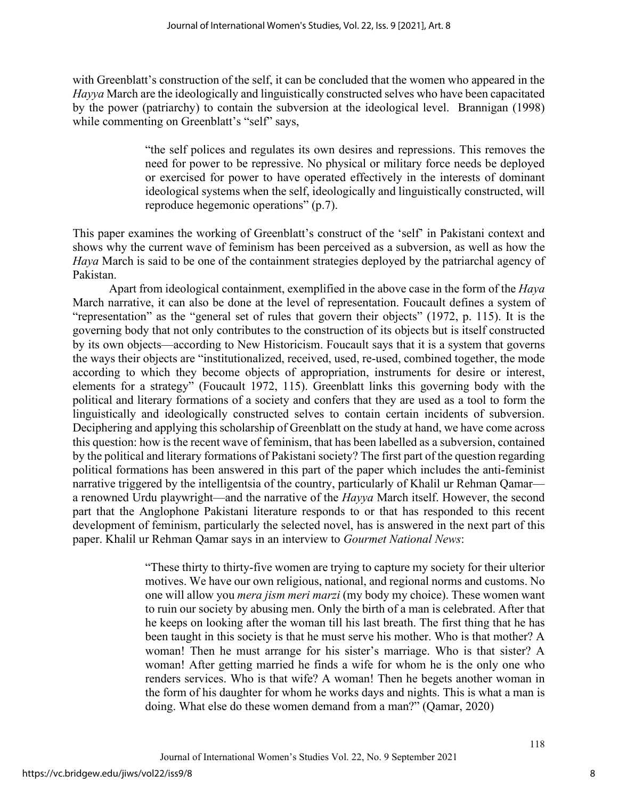with Greenblatt's construction of the self, it can be concluded that the women who appeared in the *Hayya* March are the ideologically and linguistically constructed selves who have been capacitated by the power (patriarchy) to contain the subversion at the ideological level. Brannigan (1998) while commenting on Greenblatt's "self" says,

> "the self polices and regulates its own desires and repressions. This removes the need for power to be repressive. No physical or military force needs be deployed or exercised for power to have operated effectively in the interests of dominant ideological systems when the self, ideologically and linguistically constructed, will reproduce hegemonic operations" (p.7).

This paper examines the working of Greenblatt's construct of the 'self' in Pakistani context and shows why the current wave of feminism has been perceived as a subversion, as well as how the *Haya* March is said to be one of the containment strategies deployed by the patriarchal agency of Pakistan.

Apart from ideological containment, exemplified in the above case in the form of the *Haya* March narrative, it can also be done at the level of representation. Foucault defines a system of "representation" as the "general set of rules that govern their objects" (1972, p. 115). It is the governing body that not only contributes to the construction of its objects but is itself constructed by its own objects—according to New Historicism. Foucault says that it is a system that governs the ways their objects are "institutionalized, received, used, re-used, combined together, the mode according to which they become objects of appropriation, instruments for desire or interest, elements for a strategy" (Foucault 1972, 115). Greenblatt links this governing body with the political and literary formations of a society and confers that they are used as a tool to form the linguistically and ideologically constructed selves to contain certain incidents of subversion. Deciphering and applying this scholarship of Greenblatt on the study at hand, we have come across this question: how is the recent wave of feminism, that has been labelled as a subversion, contained by the political and literary formations of Pakistani society? The first part of the question regarding political formations has been answered in this part of the paper which includes the anti-feminist narrative triggered by the intelligentsia of the country, particularly of Khalil ur Rehman Qamar a renowned Urdu playwright—and the narrative of the *Hayya* March itself. However, the second part that the Anglophone Pakistani literature responds to or that has responded to this recent development of feminism, particularly the selected novel, has is answered in the next part of this paper. Khalil ur Rehman Qamar says in an interview to *Gourmet National News*:

> "These thirty to thirty-five women are trying to capture my society for their ulterior motives. We have our own religious, national, and regional norms and customs. No one will allow you *mera jism meri marzi* (my body my choice). These women want to ruin our society by abusing men. Only the birth of a man is celebrated. After that he keeps on looking after the woman till his last breath. The first thing that he has been taught in this society is that he must serve his mother. Who is that mother? A woman! Then he must arrange for his sister's marriage. Who is that sister? A woman! After getting married he finds a wife for whom he is the only one who renders services. Who is that wife? A woman! Then he begets another woman in the form of his daughter for whom he works days and nights. This is what a man is doing. What else do these women demand from a man?" (Qamar, 2020)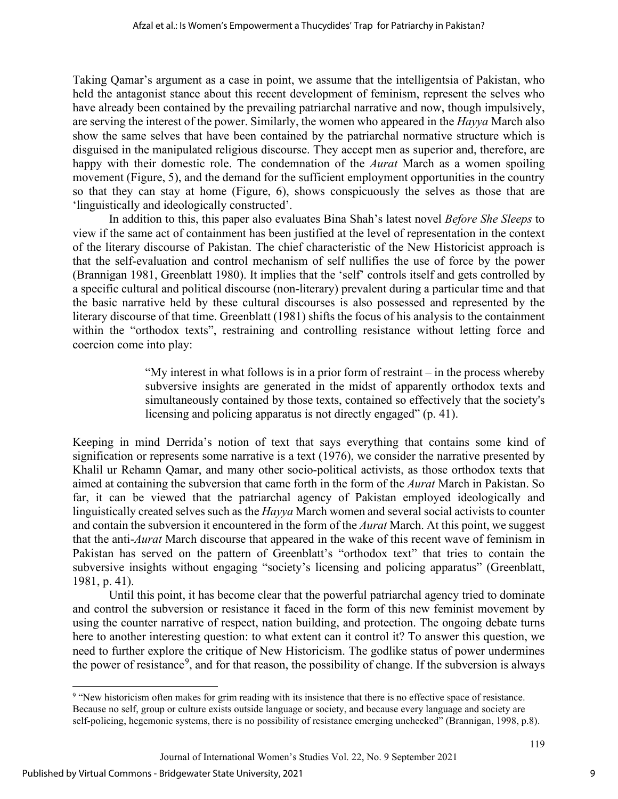Taking Qamar's argument as a case in point, we assume that the intelligentsia of Pakistan, who held the antagonist stance about this recent development of feminism, represent the selves who have already been contained by the prevailing patriarchal narrative and now, though impulsively, are serving the interest of the power. Similarly, the women who appeared in the *Hayya* March also show the same selves that have been contained by the patriarchal normative structure which is disguised in the manipulated religious discourse. They accept men as superior and, therefore, are happy with their domestic role. The condemnation of the *Aurat* March as a women spoiling movement (Figure, 5), and the demand for the sufficient employment opportunities in the country so that they can stay at home (Figure, 6), shows conspicuously the selves as those that are 'linguistically and ideologically constructed'.

In addition to this, this paper also evaluates Bina Shah's latest novel *Before She Sleeps* to view if the same act of containment has been justified at the level of representation in the context of the literary discourse of Pakistan. The chief characteristic of the New Historicist approach is that the self-evaluation and control mechanism of self nullifies the use of force by the power (Brannigan 1981, Greenblatt 1980). It implies that the 'self' controls itself and gets controlled by a specific cultural and political discourse (non-literary) prevalent during a particular time and that the basic narrative held by these cultural discourses is also possessed and represented by the literary discourse of that time. Greenblatt (1981) shifts the focus of his analysis to the containment within the "orthodox texts", restraining and controlling resistance without letting force and coercion come into play:

> "My interest in what follows is in a prior form of restraint – in the process whereby subversive insights are generated in the midst of apparently orthodox texts and simultaneously contained by those texts, contained so effectively that the society's licensing and policing apparatus is not directly engaged" (p. 41).

Keeping in mind Derrida's notion of text that says everything that contains some kind of signification or represents some narrative is a text (1976), we consider the narrative presented by Khalil ur Rehamn Qamar, and many other socio-political activists, as those orthodox texts that aimed at containing the subversion that came forth in the form of the *Aurat* March in Pakistan. So far, it can be viewed that the patriarchal agency of Pakistan employed ideologically and linguistically created selves such as the *Hayya* March women and several social activists to counter and contain the subversion it encountered in the form of the *Aurat* March. At this point, we suggest that the anti-*Aurat* March discourse that appeared in the wake of this recent wave of feminism in Pakistan has served on the pattern of Greenblatt's "orthodox text" that tries to contain the subversive insights without engaging "society's licensing and policing apparatus" (Greenblatt, 1981, p. 41).

Until this point, it has become clear that the powerful patriarchal agency tried to dominate and control the subversion or resistance it faced in the form of this new feminist movement by using the counter narrative of respect, nation building, and protection. The ongoing debate turns here to another interesting question: to what extent can it control it? To answer this question, we need to further explore the critique of New Historicism. The godlike status of power undermines the power of resistance<sup>[9](#page-9-0)</sup>, and for that reason, the possibility of change. If the subversion is always

<span id="page-9-0"></span><sup>9</sup> "New historicism often makes for grim reading with its insistence that there is no effective space of resistance. Because no self, group or culture exists outside language or society, and because every language and society are self-policing, hegemonic systems, there is no possibility of resistance emerging unchecked" (Brannigan, 1998, p.8).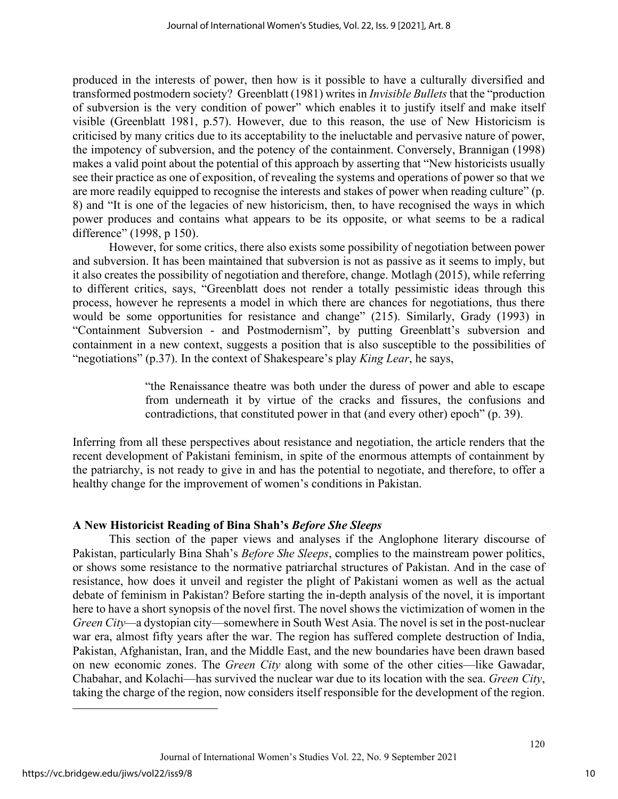produced in the interests of power, then how is it possible to have a culturally diversified and transformed postmodern society? Greenblatt (1981) writes in *Invisible Bullets* that the "production of subversion is the very condition of power" which enables it to justify itself and make itself visible (Greenblatt 1981, p.57). However, due to this reason, the use of New Historicism is criticised by many critics due to its acceptability to the ineluctable and pervasive nature of power, the impotency of subversion, and the potency of the containment. Conversely, Brannigan (1998) makes a valid point about the potential of this approach by asserting that "New historicists usually see their practice as one of exposition, of revealing the systems and operations of power so that we are more readily equipped to recognise the interests and stakes of power when reading culture" (p. 8) and "It is one of the legacies of new historicism, then, to have recognised the ways in which power produces and contains what appears to be its opposite, or what seems to be a radical difference" (1998, p 150).

However, for some critics, there also exists some possibility of negotiation between power and subversion. It has been maintained that subversion is not as passive as it seems to imply, but it also creates the possibility of negotiation and therefore, change. Motlagh (2015), while referring to different critics, says, "Greenblatt does not render a totally pessimistic ideas through this process, however he represents a model in which there are chances for negotiations, thus there would be some opportunities for resistance and change" (215). Similarly, Grady (1993) in "Containment Subversion - and Postmodernism", by putting Greenblatt's subversion and containment in a new context, suggests a position that is also susceptible to the possibilities of "negotiations" (p.37). In the context of Shakespeare's play *King Lear*, he says,

> "the Renaissance theatre was both under the duress of power and able to escape from underneath it by virtue of the cracks and fissures, the confusions and contradictions, that constituted power in that (and every other) epoch" (p. 39).

Inferring from all these perspectives about resistance and negotiation, the article renders that the recent development of Pakistani feminism, in spite of the enormous attempts of containment by the patriarchy, is not ready to give in and has the potential to negotiate, and therefore, to offer a healthy change for the improvement of women's conditions in Pakistan.

## **A New Historicist Reading of Bina Shah's** *Before She Sleeps*

This section of the paper views and analyses if the Anglophone literary discourse of Pakistan, particularly Bina Shah's *Before She Sleeps*, complies to the mainstream power politics, or shows some resistance to the normative patriarchal structures of Pakistan. And in the case of resistance, how does it unveil and register the plight of Pakistani women as well as the actual debate of feminism in Pakistan? Before starting the in-depth analysis of the novel, it is important here to have a short synopsis of the novel first. The novel shows the victimization of women in the *Green City—*a dystopian city—somewhere in South West Asia. The novel is set in the post-nuclear war era, almost fifty years after the war. The region has suffered complete destruction of India, Pakistan, Afghanistan, Iran, and the Middle East, and the new boundaries have been drawn based on new economic zones. The *Green City* along with some of the other cities—like Gawadar, Chabahar, and Kolachi—has survived the nuclear war due to its location with the sea. *Green City*, taking the charge of the region, now considers itself responsible for the development of the region.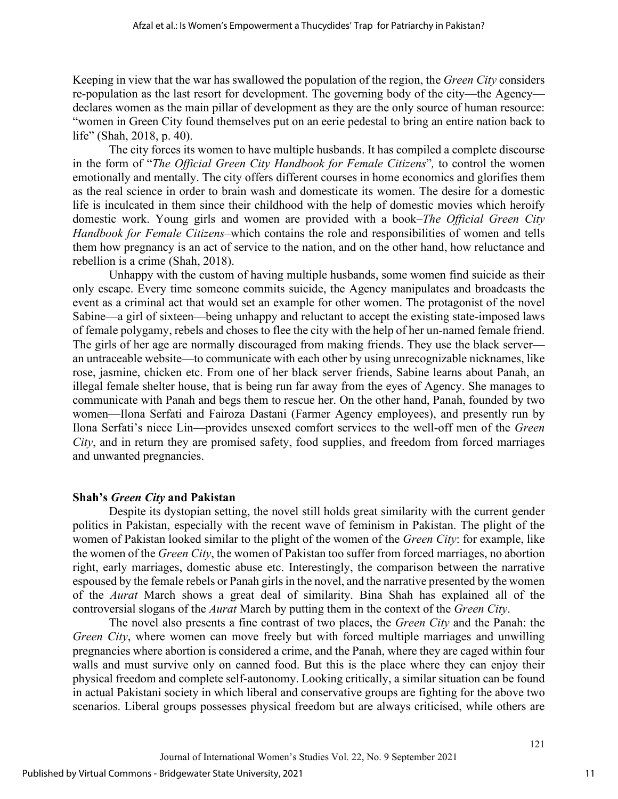Keeping in view that the war has swallowed the population of the region, the *Green City* considers re-population as the last resort for development. The governing body of the city—the Agency declares women as the main pillar of development as they are the only source of human resource: "women in Green City found themselves put on an eerie pedestal to bring an entire nation back to life" (Shah, 2018, p. 40).

The city forces its women to have multiple husbands. It has compiled a complete discourse in the form of "*The Official Green City Handbook for Female Citizens*"*,* to control the women emotionally and mentally. The city offers different courses in home economics and glorifies them as the real science in order to brain wash and domesticate its women. The desire for a domestic life is inculcated in them since their childhood with the help of domestic movies which heroify domestic work. Young girls and women are provided with a book–*The Official Green City Handbook for Female Citizens*–which contains the role and responsibilities of women and tells them how pregnancy is an act of service to the nation, and on the other hand, how reluctance and rebellion is a crime (Shah, 2018).

Unhappy with the custom of having multiple husbands, some women find suicide as their only escape. Every time someone commits suicide, the Agency manipulates and broadcasts the event as a criminal act that would set an example for other women. The protagonist of the novel Sabine—a girl of sixteen—being unhappy and reluctant to accept the existing state-imposed laws of female polygamy, rebels and choses to flee the city with the help of her un-named female friend. The girls of her age are normally discouraged from making friends. They use the black server an untraceable website—to communicate with each other by using unrecognizable nicknames, like rose, jasmine, chicken etc. From one of her black server friends, Sabine learns about Panah, an illegal female shelter house, that is being run far away from the eyes of Agency. She manages to communicate with Panah and begs them to rescue her. On the other hand, Panah, founded by two women—Ilona Serfati and Fairoza Dastani (Farmer Agency employees), and presently run by Ilona Serfati's niece Lin—provides unsexed comfort services to the well-off men of the *Green City*, and in return they are promised safety, food supplies, and freedom from forced marriages and unwanted pregnancies.

## **Shah's** *Green City* **and Pakistan**

Despite its dystopian setting, the novel still holds great similarity with the current gender politics in Pakistan, especially with the recent wave of feminism in Pakistan. The plight of the women of Pakistan looked similar to the plight of the women of the *Green City*: for example, like the women of the *Green City*, the women of Pakistan too suffer from forced marriages, no abortion right, early marriages, domestic abuse etc. Interestingly, the comparison between the narrative espoused by the female rebels or Panah girls in the novel, and the narrative presented by the women of the *Aurat* March shows a great deal of similarity. Bina Shah has explained all of the controversial slogans of the *Aurat* March by putting them in the context of the *Green City*.

The novel also presents a fine contrast of two places, the *Green City* and the Panah: the *Green City*, where women can move freely but with forced multiple marriages and unwilling pregnancies where abortion is considered a crime, and the Panah, where they are caged within four walls and must survive only on canned food. But this is the place where they can enjoy their physical freedom and complete self-autonomy. Looking critically, a similar situation can be found in actual Pakistani society in which liberal and conservative groups are fighting for the above two scenarios. Liberal groups possesses physical freedom but are always criticised, while others are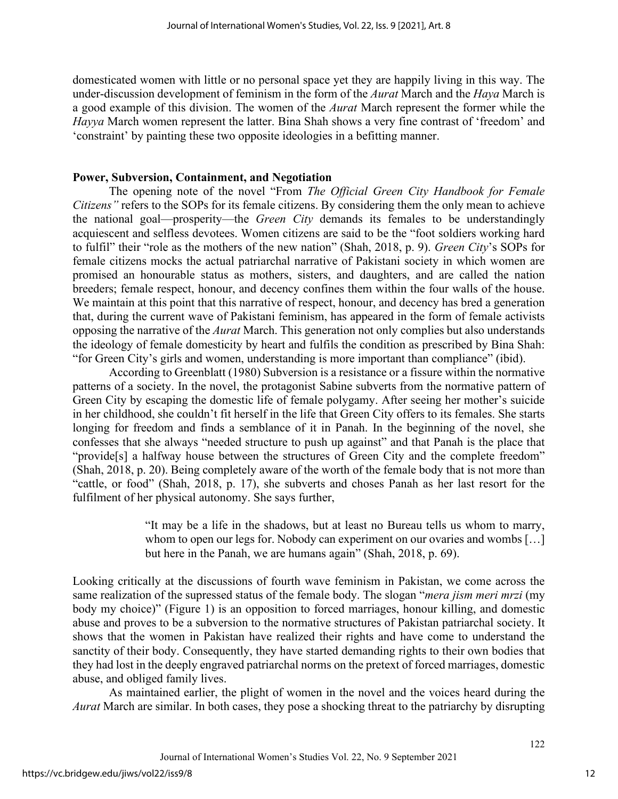domesticated women with little or no personal space yet they are happily living in this way. The under-discussion development of feminism in the form of the *Aurat* March and the *Haya* March is a good example of this division. The women of the *Aurat* March represent the former while the *Hayya* March women represent the latter. Bina Shah shows a very fine contrast of 'freedom' and 'constraint' by painting these two opposite ideologies in a befitting manner.

#### **Power, Subversion, Containment, and Negotiation**

The opening note of the novel "From *The Official Green City Handbook for Female Citizens"* refers to the SOPs for its female citizens. By considering them the only mean to achieve the national goal—prosperity—the *Green City* demands its females to be understandingly acquiescent and selfless devotees. Women citizens are said to be the "foot soldiers working hard to fulfil" their "role as the mothers of the new nation" (Shah, 2018, p. 9). *Green City*'s SOPs for female citizens mocks the actual patriarchal narrative of Pakistani society in which women are promised an honourable status as mothers, sisters, and daughters, and are called the nation breeders; female respect, honour, and decency confines them within the four walls of the house. We maintain at this point that this narrative of respect, honour, and decency has bred a generation that, during the current wave of Pakistani feminism, has appeared in the form of female activists opposing the narrative of the *Aurat* March. This generation not only complies but also understands the ideology of female domesticity by heart and fulfils the condition as prescribed by Bina Shah: "for Green City's girls and women, understanding is more important than compliance" (ibid).

According to Greenblatt (1980) Subversion is a resistance or a fissure within the normative patterns of a society. In the novel, the protagonist Sabine subverts from the normative pattern of Green City by escaping the domestic life of female polygamy. After seeing her mother's suicide in her childhood, she couldn't fit herself in the life that Green City offers to its females. She starts longing for freedom and finds a semblance of it in Panah. In the beginning of the novel, she confesses that she always "needed structure to push up against" and that Panah is the place that "provide[s] a halfway house between the structures of Green City and the complete freedom" (Shah, 2018, p. 20). Being completely aware of the worth of the female body that is not more than "cattle, or food" (Shah, 2018, p. 17), she subverts and choses Panah as her last resort for the fulfilment of her physical autonomy. She says further,

> "It may be a life in the shadows, but at least no Bureau tells us whom to marry, whom to open our legs for. Nobody can experiment on our ovaries and wombs [...] but here in the Panah, we are humans again" (Shah, 2018, p. 69).

Looking critically at the discussions of fourth wave feminism in Pakistan, we come across the same realization of the supressed status of the female body. The slogan "*mera jism meri mrzi* (my body my choice)" (Figure 1) is an opposition to forced marriages, honour killing, and domestic abuse and proves to be a subversion to the normative structures of Pakistan patriarchal society. It shows that the women in Pakistan have realized their rights and have come to understand the sanctity of their body. Consequently, they have started demanding rights to their own bodies that they had lost in the deeply engraved patriarchal norms on the pretext of forced marriages, domestic abuse, and obliged family lives.

As maintained earlier, the plight of women in the novel and the voices heard during the *Aurat* March are similar. In both cases, they pose a shocking threat to the patriarchy by disrupting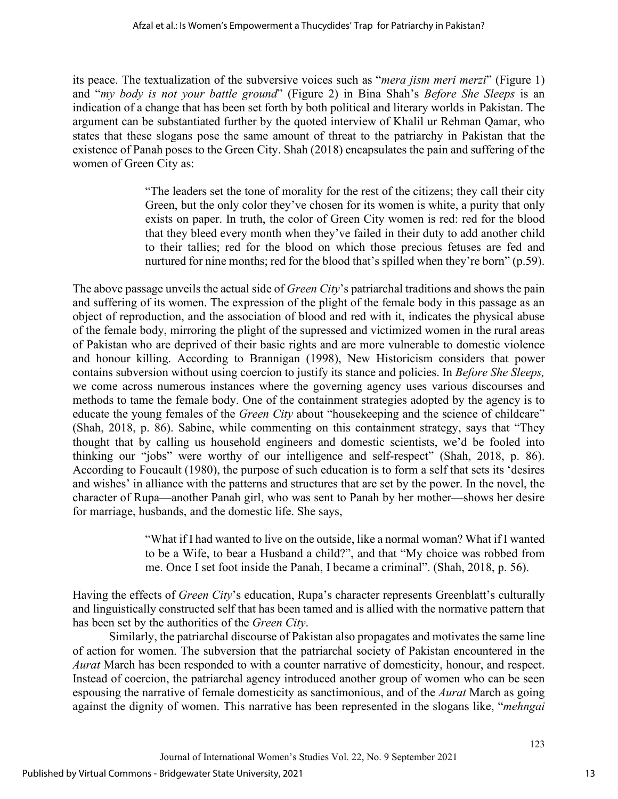its peace. The textualization of the subversive voices such as "*mera jism meri merzi*" (Figure 1) and "*my body is not your battle ground*" (Figure 2) in Bina Shah's *Before She Sleeps* is an indication of a change that has been set forth by both political and literary worlds in Pakistan. The argument can be substantiated further by the quoted interview of Khalil ur Rehman Qamar, who states that these slogans pose the same amount of threat to the patriarchy in Pakistan that the existence of Panah poses to the Green City. Shah (2018) encapsulates the pain and suffering of the women of Green City as:

> "The leaders set the tone of morality for the rest of the citizens; they call their city Green, but the only color they've chosen for its women is white, a purity that only exists on paper. In truth, the color of Green City women is red: red for the blood that they bleed every month when they've failed in their duty to add another child to their tallies; red for the blood on which those precious fetuses are fed and nurtured for nine months; red for the blood that's spilled when they're born" (p.59).

The above passage unveils the actual side of *Green City*'s patriarchal traditions and shows the pain and suffering of its women. The expression of the plight of the female body in this passage as an object of reproduction, and the association of blood and red with it, indicates the physical abuse of the female body, mirroring the plight of the supressed and victimized women in the rural areas of Pakistan who are deprived of their basic rights and are more vulnerable to domestic violence and honour killing. According to Brannigan (1998), New Historicism considers that power contains subversion without using coercion to justify its stance and policies. In *Before She Sleeps,* we come across numerous instances where the governing agency uses various discourses and methods to tame the female body. One of the containment strategies adopted by the agency is to educate the young females of the *Green City* about "housekeeping and the science of childcare" (Shah, 2018, p. 86). Sabine, while commenting on this containment strategy, says that "They thought that by calling us household engineers and domestic scientists, we'd be fooled into thinking our "jobs" were worthy of our intelligence and self-respect" (Shah, 2018, p. 86). According to Foucault (1980), the purpose of such education is to form a self that sets its 'desires and wishes' in alliance with the patterns and structures that are set by the power. In the novel, the character of Rupa—another Panah girl, who was sent to Panah by her mother—shows her desire for marriage, husbands, and the domestic life. She says,

> "What if I had wanted to live on the outside, like a normal woman? What if I wanted to be a Wife, to bear a Husband a child?", and that "My choice was robbed from me. Once I set foot inside the Panah, I became a criminal". (Shah, 2018, p. 56).

Having the effects of *Green City*'s education, Rupa's character represents Greenblatt's culturally and linguistically constructed self that has been tamed and is allied with the normative pattern that has been set by the authorities of the *Green City*.

Similarly, the patriarchal discourse of Pakistan also propagates and motivates the same line of action for women. The subversion that the patriarchal society of Pakistan encountered in the *Aurat* March has been responded to with a counter narrative of domesticity, honour, and respect. Instead of coercion, the patriarchal agency introduced another group of women who can be seen espousing the narrative of female domesticity as sanctimonious, and of the *Aurat* March as going against the dignity of women. This narrative has been represented in the slogans like, "*mehngai*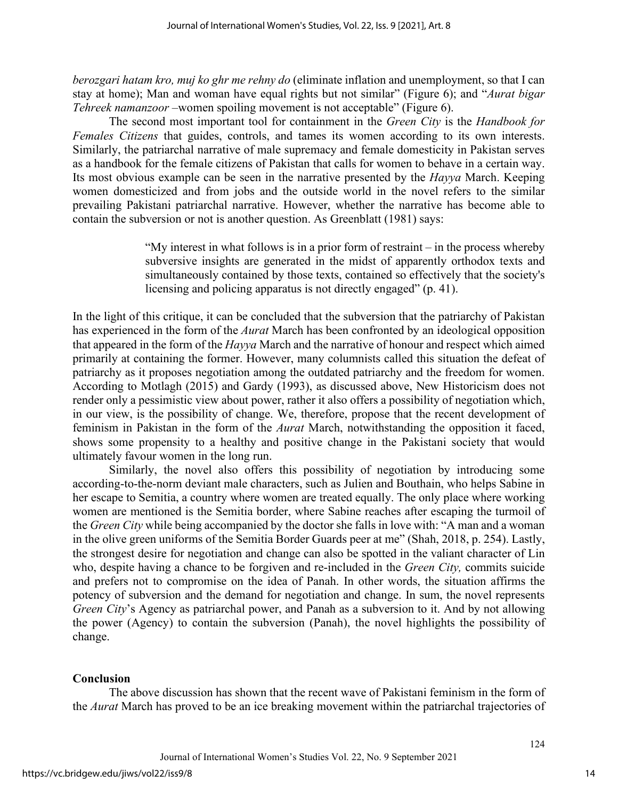*berozgari hatam kro, muj ko ghr me rehny do* (eliminate inflation and unemployment, so that I can stay at home); Man and woman have equal rights but not similar" (Figure 6); and "*Aurat bigar Tehreek namanzoor* –women spoiling movement is not acceptable" (Figure 6).

The second most important tool for containment in the *Green City* is the *Handbook for Females Citizens* that guides, controls, and tames its women according to its own interests. Similarly, the patriarchal narrative of male supremacy and female domesticity in Pakistan serves as a handbook for the female citizens of Pakistan that calls for women to behave in a certain way. Its most obvious example can be seen in the narrative presented by the *Hayya* March. Keeping women domesticized and from jobs and the outside world in the novel refers to the similar prevailing Pakistani patriarchal narrative. However, whether the narrative has become able to contain the subversion or not is another question. As Greenblatt (1981) says:

> "My interest in what follows is in a prior form of restraint – in the process whereby subversive insights are generated in the midst of apparently orthodox texts and simultaneously contained by those texts, contained so effectively that the society's licensing and policing apparatus is not directly engaged" (p. 41).

In the light of this critique, it can be concluded that the subversion that the patriarchy of Pakistan has experienced in the form of the *Aurat* March has been confronted by an ideological opposition that appeared in the form of the *Hayya* March and the narrative of honour and respect which aimed primarily at containing the former. However, many columnists called this situation the defeat of patriarchy as it proposes negotiation among the outdated patriarchy and the freedom for women. According to Motlagh (2015) and Gardy (1993), as discussed above, New Historicism does not render only a pessimistic view about power, rather it also offers a possibility of negotiation which, in our view, is the possibility of change. We, therefore, propose that the recent development of feminism in Pakistan in the form of the *Aurat* March, notwithstanding the opposition it faced, shows some propensity to a healthy and positive change in the Pakistani society that would ultimately favour women in the long run.

Similarly, the novel also offers this possibility of negotiation by introducing some according-to-the-norm deviant male characters, such as Julien and Bouthain, who helps Sabine in her escape to Semitia, a country where women are treated equally. The only place where working women are mentioned is the Semitia border, where Sabine reaches after escaping the turmoil of the *Green City* while being accompanied by the doctor she falls in love with: "A man and a woman in the olive green uniforms of the Semitia Border Guards peer at me" (Shah, 2018, p. 254). Lastly, the strongest desire for negotiation and change can also be spotted in the valiant character of Lin who, despite having a chance to be forgiven and re-included in the *Green City,* commits suicide and prefers not to compromise on the idea of Panah. In other words, the situation affirms the potency of subversion and the demand for negotiation and change. In sum, the novel represents *Green City*'s Agency as patriarchal power, and Panah as a subversion to it. And by not allowing the power (Agency) to contain the subversion (Panah), the novel highlights the possibility of change.

## **Conclusion**

The above discussion has shown that the recent wave of Pakistani feminism in the form of the *Aurat* March has proved to be an ice breaking movement within the patriarchal trajectories of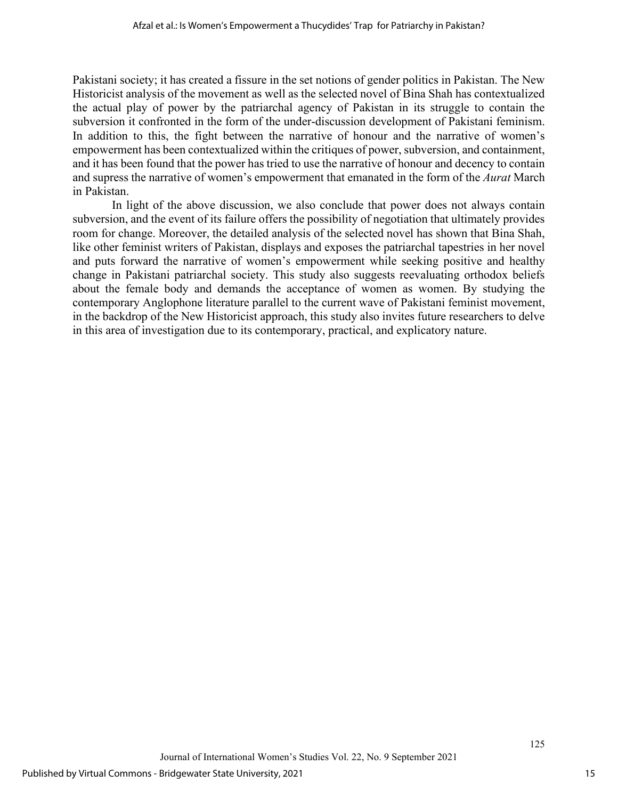Pakistani society; it has created a fissure in the set notions of gender politics in Pakistan. The New Historicist analysis of the movement as well as the selected novel of Bina Shah has contextualized the actual play of power by the patriarchal agency of Pakistan in its struggle to contain the subversion it confronted in the form of the under-discussion development of Pakistani feminism. In addition to this, the fight between the narrative of honour and the narrative of women's empowerment has been contextualized within the critiques of power, subversion, and containment, and it has been found that the power has tried to use the narrative of honour and decency to contain and supress the narrative of women's empowerment that emanated in the form of the *Aurat* March in Pakistan.

In light of the above discussion, we also conclude that power does not always contain subversion, and the event of its failure offers the possibility of negotiation that ultimately provides room for change. Moreover, the detailed analysis of the selected novel has shown that Bina Shah, like other feminist writers of Pakistan, displays and exposes the patriarchal tapestries in her novel and puts forward the narrative of women's empowerment while seeking positive and healthy change in Pakistani patriarchal society. This study also suggests reevaluating orthodox beliefs about the female body and demands the acceptance of women as women. By studying the contemporary Anglophone literature parallel to the current wave of Pakistani feminist movement, in the backdrop of the New Historicist approach, this study also invites future researchers to delve in this area of investigation due to its contemporary, practical, and explicatory nature.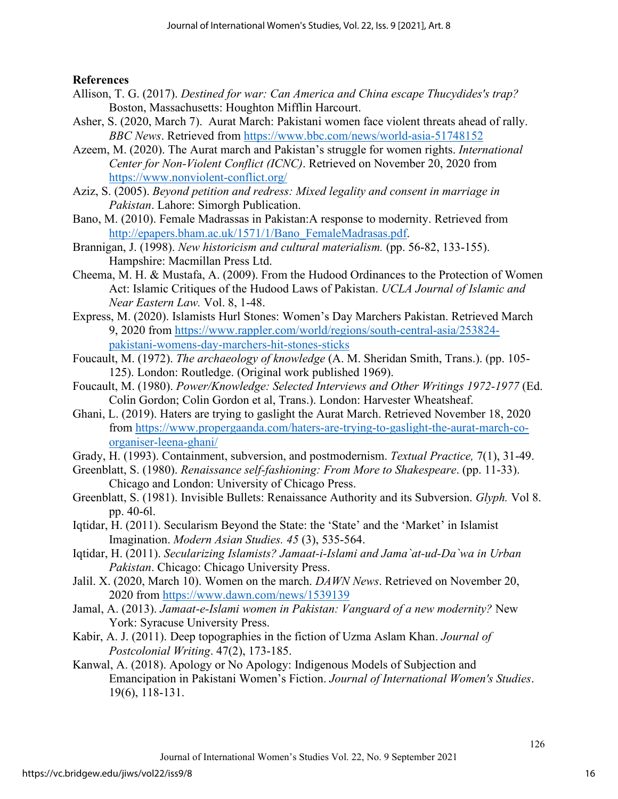**References**

- Allison, T. G. (2017). *Destined for war: Can America and China escape Thucydides's trap?* Boston, Massachusetts: Houghton Mifflin Harcourt.
- Asher, S. (2020, March 7). Aurat March: Pakistani women face violent threats ahead of rally. *BBC News*. Retrieved from<https://www.bbc.com/news/world-asia-51748152>
- Azeem, M. (2020). The Aurat march and Pakistan's struggle for women rights. *International Center for Non-Violent Conflict (ICNC)*. Retrieved on November 20, 2020 from <https://www.nonviolent-conflict.org/>
- Aziz, S. (2005). *Beyond petition and redress: Mixed legality and consent in marriage in Pakistan*. Lahore: Simorgh Publication.
- Bano, M. (2010). Female Madrassas in Pakistan:A response to modernity. Retrieved from [http://epapers.bham.ac.uk/1571/1/Bano\\_FemaleMadrasas.pdf.](http://epapers.bham.ac.uk/1571/1/Bano_FemaleMadrasas.pdf)
- Brannigan, J. (1998). *New historicism and cultural materialism.* (pp. 56-82, 133-155). Hampshire: Macmillan Press Ltd.
- Cheema, M. H. & Mustafa, A. (2009). From the Hudood Ordinances to the Protection of Women Act: Islamic Critiques of the Hudood Laws of Pakistan. *UCLA Journal of Islamic and Near Eastern Law.* Vol. 8, 1-48.
- Express, M. (2020). Islamists Hurl Stones: Women's Day Marchers Pakistan. Retrieved March 9, 2020 from [https://www.rappler.com/world/regions/south-central-asia/253824](https://www.rappler.com/world/regions/south-central-asia/253824-pakistani-womens-day-marchers-hit-stones-sticks) [pakistani-womens-day-marchers-hit-stones-sticks](https://www.rappler.com/world/regions/south-central-asia/253824-pakistani-womens-day-marchers-hit-stones-sticks)
- Foucault, M. (1972). *The archaeology of knowledge* (A. M. Sheridan Smith, Trans.). (pp. 105- 125). London: Routledge. (Original work published 1969).
- Foucault, M. (1980). *Power/Knowledge: Selected Interviews and Other Writings 1972-1977* (Ed. Colin Gordon; Colin Gordon et al, Trans.). London: Harvester Wheatsheaf.
- Ghani, L. (2019). Haters are trying to gaslight the Aurat March. Retrieved November 18, 2020 from [https://www.propergaanda.com/haters-are-trying-to-gaslight-the-aurat-march-co](https://www.propergaanda.com/haters-are-trying-to-gaslight-the-aurat-march-co-organiser-leena-ghani/)[organiser-leena-ghani/](https://www.propergaanda.com/haters-are-trying-to-gaslight-the-aurat-march-co-organiser-leena-ghani/)
- Grady, H. (1993). Containment, subversion, and postmodernism. *Textual Practice,* 7(1), 31-49.
- Greenblatt, S. (1980). *Renaissance self-fashioning: From More to Shakespeare*. (pp. 11-33). Chicago and London: University of Chicago Press.
- Greenblatt, S. (1981). Invisible Bullets: Renaissance Authority and its Subversion. *Glyph.* Vol 8. pp. 40-6l.
- Iqtidar, H. (2011). Secularism Beyond the State: the 'State' and the 'Market' in Islamist Imagination. *Modern Asian Studies. 45* (3), 535-564.
- Iqtidar, H. (2011). *Secularizing Islamists? Jamaat-i-Islami and Jama`at-ud-Da`wa in Urban Pakistan*. Chicago: Chicago University Press.
- Jalil. X. (2020, March 10). Women on the march. *DAWN News*. Retrieved on November 20, 2020 from<https://www.dawn.com/news/1539139>
- Jamal, A. (2013). *Jamaat-e-Islami women in Pakistan: Vanguard of a new modernity?* New York: Syracuse University Press.
- Kabir, A. J. (2011). Deep topographies in the fiction of Uzma Aslam Khan. *Journal of Postcolonial Writing*. 47(2), 173-185.
- Kanwal, A. (2018). Apology or No Apology: Indigenous Models of Subjection and Emancipation in Pakistani Women's Fiction. *Journal of International Women's Studies*. 19(6), 118-131.